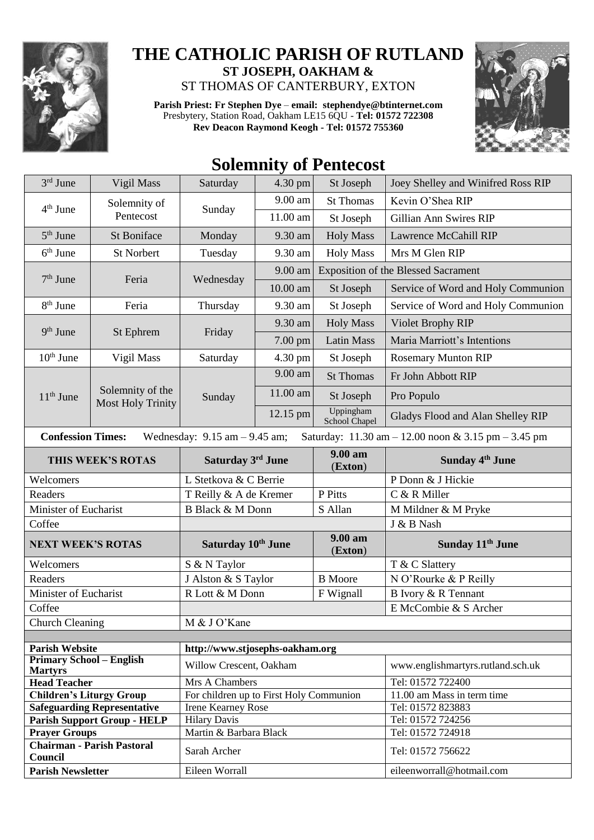

## **THE CATHOLIC PARISH OF RUTLAND ST JOSEPH, OAKHAM &**  ST THOMAS OF CANTERBURY, EXTON

**Parish Priest: Fr Stephen Dye** – **[email: stephendye@btinternet.com](mailto:email:%20%20stephendye@btinternet.com)** Presbytery, Station Road, Oakham LE15 6QU - **Tel: 01572 722308 Rev Deacon Raymond Keogh - Tel: 01572 755360**



## **Solemnity of Pentecost**

| 3rd June                                                                                                            | Vigil Mass                                   | Saturday                                | 4.30 pm              | St Joseph                  | Joey Shelley and Winifred Ross RIP         |  |  |  |
|---------------------------------------------------------------------------------------------------------------------|----------------------------------------------|-----------------------------------------|----------------------|----------------------------|--------------------------------------------|--|--|--|
| $4th$ June                                                                                                          | Solemnity of<br>Pentecost                    |                                         | 9.00 am              | <b>St Thomas</b>           | Kevin O'Shea RIP                           |  |  |  |
|                                                                                                                     |                                              | Sunday                                  | 11.00 am             | St Joseph                  | Gillian Ann Swires RIP                     |  |  |  |
| 5 <sup>th</sup> June                                                                                                | St Boniface                                  | Monday                                  | 9.30 am              | <b>Holy Mass</b>           | <b>Lawrence McCahill RIP</b>               |  |  |  |
| $6th$ June                                                                                                          | <b>St Norbert</b>                            | Tuesday                                 | 9.30 am              | <b>Holy Mass</b>           | Mrs M Glen RIP                             |  |  |  |
| $7th$ June                                                                                                          | Feria                                        | Wednesday                               | 9.00 am              |                            | <b>Exposition of the Blessed Sacrament</b> |  |  |  |
|                                                                                                                     |                                              |                                         | 10.00 am             | St Joseph                  | Service of Word and Holy Communion         |  |  |  |
| $8th$ June                                                                                                          | Feria                                        | Thursday<br>9.30 am                     |                      | St Joseph                  | Service of Word and Holy Communion         |  |  |  |
| 9 <sup>th</sup> June                                                                                                | St Ephrem                                    | Friday                                  | 9.30 am              | <b>Holy Mass</b>           | <b>Violet Brophy RIP</b>                   |  |  |  |
|                                                                                                                     |                                              |                                         | 7.00 pm              | <b>Latin Mass</b>          | Maria Marriott's Intentions                |  |  |  |
| 10 <sup>th</sup> June                                                                                               | Vigil Mass                                   | 4.30 pm<br>Saturday                     |                      | St Joseph                  | <b>Rosemary Munton RIP</b>                 |  |  |  |
| $11th$ June                                                                                                         | Solemnity of the<br><b>Most Holy Trinity</b> | Sunday                                  | $\overline{9.00}$ am | <b>St Thomas</b>           | Fr John Abbott RIP                         |  |  |  |
|                                                                                                                     |                                              |                                         | 11.00 am             | St Joseph                  | Pro Populo                                 |  |  |  |
|                                                                                                                     |                                              |                                         | 12.15 pm             | Uppingham<br>School Chapel | Gladys Flood and Alan Shelley RIP          |  |  |  |
| <b>Confession Times:</b><br>Wednesday: $9.15$ am $-9.45$ am;<br>Saturday: 11.30 am - 12.00 noon & 3.15 pm - 3.45 pm |                                              |                                         |                      |                            |                                            |  |  |  |
|                                                                                                                     | THIS WEEK'S ROTAS                            | Saturday 3rd June                       |                      | 9.00 am<br>(Exton)         | <b>Sunday 4th June</b>                     |  |  |  |
| Welcomers                                                                                                           |                                              | L Stetkova & C Berrie                   |                      |                            | P Donn & J Hickie                          |  |  |  |
|                                                                                                                     |                                              | T Reilly & A de Kremer                  |                      |                            |                                            |  |  |  |
| Readers                                                                                                             |                                              |                                         |                      | P Pitts                    | C & R Miller                               |  |  |  |
| Minister of Eucharist                                                                                               |                                              | <b>B Black &amp; M Donn</b>             |                      | S Allan                    | M Mildner & M Pryke                        |  |  |  |
| Coffee                                                                                                              |                                              |                                         |                      |                            | J & B Nash                                 |  |  |  |
| <b>NEXT WEEK'S ROTAS</b>                                                                                            |                                              | Saturday 10th June                      |                      | 9.00 am                    | Sunday 11 <sup>th</sup> June               |  |  |  |
| Welcomers                                                                                                           |                                              |                                         |                      | (Exton)                    |                                            |  |  |  |
| Readers                                                                                                             |                                              | S & N Taylor                            |                      | <b>B</b> Moore             | T & C Slattery<br>N O'Rourke & P Reilly    |  |  |  |
|                                                                                                                     |                                              | J Alston & S Taylor<br>R Lott & M Donn  |                      |                            | B Ivory & R Tennant                        |  |  |  |
| Minister of Eucharist<br>Coffee                                                                                     |                                              |                                         |                      | F Wignall                  | E McCombie & S Archer                      |  |  |  |
|                                                                                                                     |                                              |                                         |                      |                            |                                            |  |  |  |
| <b>Church Cleaning</b>                                                                                              |                                              | M & J O'Kane                            |                      |                            |                                            |  |  |  |
| <b>Parish Website</b>                                                                                               |                                              | http://www.stjosephs-oakham.org         |                      |                            |                                            |  |  |  |
| <b>Primary School - English</b>                                                                                     |                                              | Willow Crescent, Oakham                 |                      |                            | www.englishmartyrs.rutland.sch.uk          |  |  |  |
| <b>Martyrs</b><br><b>Head Teacher</b>                                                                               |                                              | Mrs A Chambers                          |                      |                            | Tel: 01572 722400                          |  |  |  |
| <b>Children's Liturgy Group</b>                                                                                     |                                              | For children up to First Holy Communion |                      |                            | 11.00 am Mass in term time                 |  |  |  |
|                                                                                                                     | <b>Safeguarding Representative</b>           | <b>Irene Kearney Rose</b>               |                      |                            | Tel: 01572 823883                          |  |  |  |
|                                                                                                                     | <b>Parish Support Group - HELP</b>           | <b>Hilary Davis</b>                     |                      |                            | Tel: 01572 724256                          |  |  |  |
| <b>Prayer Groups</b>                                                                                                |                                              | Martin & Barbara Black                  |                      |                            | Tel: 01572 724918                          |  |  |  |
| Council<br><b>Parish Newsletter</b>                                                                                 | <b>Chairman - Parish Pastoral</b>            | Sarah Archer                            |                      |                            | Tel: 01572 756622                          |  |  |  |